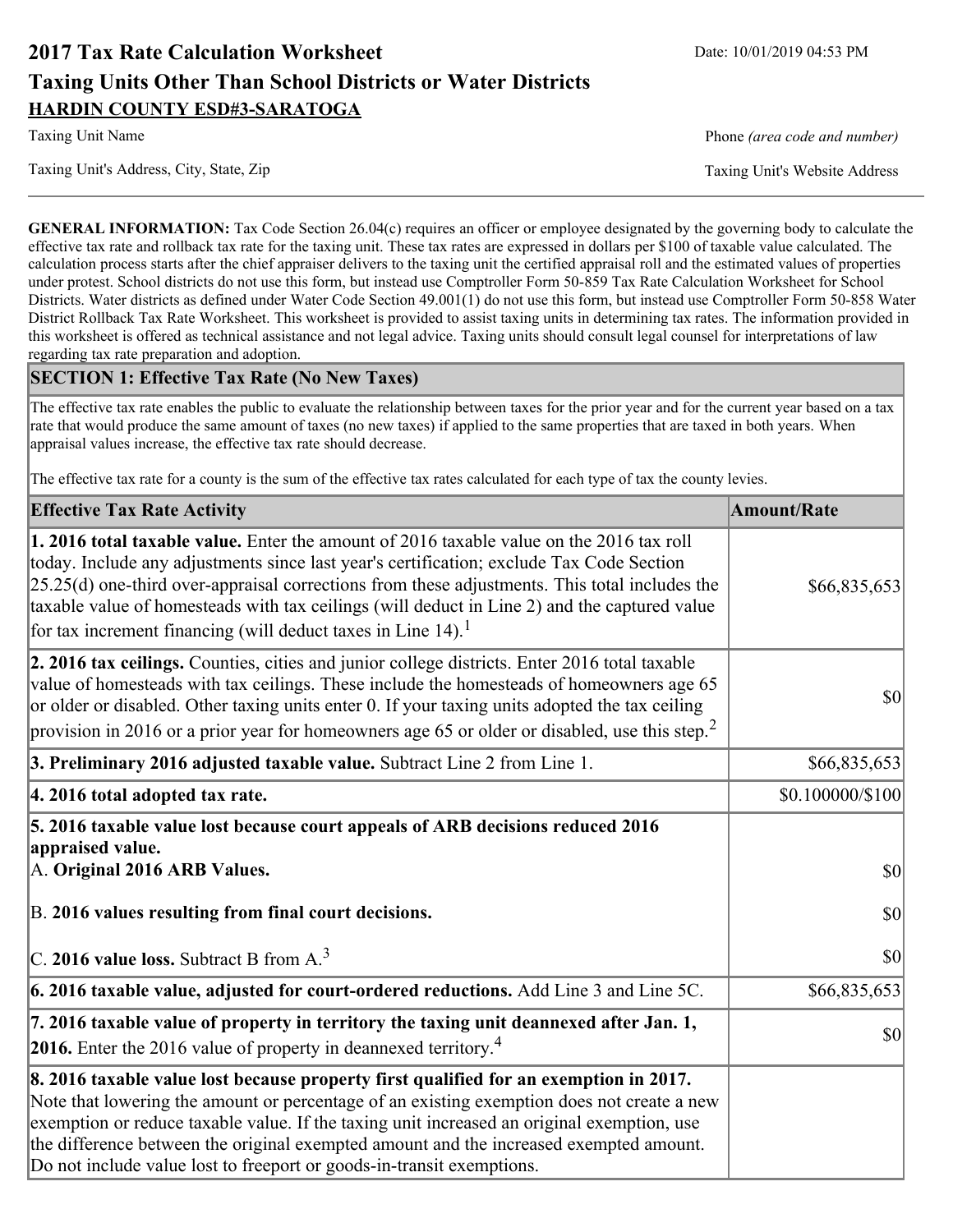# **2017 Tax Rate Calculation Worksheet** Date: 10/01/2019 04:53 PM **Taxing Units Other Than School Districts or Water Districts HARDIN COUNTY ESD#3-SARATOGA**

Taxing Unit's Address, City, State, Zip Taxing Unit's Website Address

Taxing Unit Name **Phone** *(area code and number)* Phone *(area code and number)* 

**GENERAL INFORMATION:** Tax Code Section 26.04(c) requires an officer or employee designated by the governing body to calculate the effective tax rate and rollback tax rate for the taxing unit. These tax rates are expressed in dollars per \$100 of taxable value calculated. The calculation process starts after the chief appraiser delivers to the taxing unit the certified appraisal roll and the estimated values of properties under protest. School districts do not use this form, but instead use Comptroller Form 50-859 Tax Rate Calculation Worksheet for School Districts. Water districts as defined under Water Code Section 49.001(1) do not use this form, but instead use Comptroller Form 50-858 Water District Rollback Tax Rate Worksheet. This worksheet is provided to assist taxing units in determining tax rates. The information provided in this worksheet is offered as technical assistance and not legal advice. Taxing units should consult legal counsel for interpretations of law regarding tax rate preparation and adoption.

### **SECTION 1: Effective Tax Rate (No New Taxes)**

The effective tax rate enables the public to evaluate the relationship between taxes for the prior year and for the current year based on a tax rate that would produce the same amount of taxes (no new taxes) if applied to the same properties that are taxed in both years. When appraisal values increase, the effective tax rate should decrease.

The effective tax rate for a county is the sum of the effective tax rates calculated for each type of tax the county levies.

| <b>Effective Tax Rate Activity</b>                                                                                                                                                                                                                                                                                                                                                                                                                             | <b>Amount/Rate</b> |
|----------------------------------------------------------------------------------------------------------------------------------------------------------------------------------------------------------------------------------------------------------------------------------------------------------------------------------------------------------------------------------------------------------------------------------------------------------------|--------------------|
| <b>1. 2016 total taxable value.</b> Enter the amount of 2016 taxable value on the 2016 tax roll<br>today. Include any adjustments since last year's certification; exclude Tax Code Section<br>$[25.25(d)$ one-third over-appraisal corrections from these adjustments. This total includes the<br>taxable value of homesteads with tax ceilings (will deduct in Line 2) and the captured value<br>for tax increment financing (will deduct taxes in Line 14). | \$66,835,653       |
| 2. 2016 tax ceilings. Counties, cities and junior college districts. Enter 2016 total taxable<br>value of homesteads with tax ceilings. These include the homesteads of homeowners age 65<br>or older or disabled. Other taxing units enter 0. If your taxing units adopted the tax ceiling<br>provision in 2016 or a prior year for homeowners age 65 or older or disabled, use this step. <sup>2</sup>                                                       | 30                 |
| 3. Preliminary 2016 adjusted taxable value. Subtract Line 2 from Line 1.                                                                                                                                                                                                                                                                                                                                                                                       | \$66,835,653       |
| 4. 2016 total adopted tax rate.                                                                                                                                                                                                                                                                                                                                                                                                                                | \$0.100000/\$100   |
| 5. 2016 taxable value lost because court appeals of ARB decisions reduced 2016<br>appraised value.<br>A. Original 2016 ARB Values.                                                                                                                                                                                                                                                                                                                             | 30                 |
| B. 2016 values resulting from final court decisions.                                                                                                                                                                                                                                                                                                                                                                                                           | 30                 |
| C. 2016 value loss. Subtract B from $A3$                                                                                                                                                                                                                                                                                                                                                                                                                       | 30                 |
| 6. 2016 taxable value, adjusted for court-ordered reductions. Add Line 3 and Line 5C.                                                                                                                                                                                                                                                                                                                                                                          | \$66,835,653       |
| 7. 2016 taxable value of property in territory the taxing unit deannexed after Jan. 1,<br><b>2016.</b> Enter the 2016 value of property in deannexed territory. <sup>4</sup>                                                                                                                                                                                                                                                                                   | $ 10\rangle$       |
| 8. 2016 taxable value lost because property first qualified for an exemption in 2017.<br>Note that lowering the amount or percentage of an existing exemption does not create a new<br>exemption or reduce taxable value. If the taxing unit increased an original exemption, use<br>the difference between the original exempted amount and the increased exempted amount.<br>Do not include value lost to freeport or goods-in-transit exemptions.           |                    |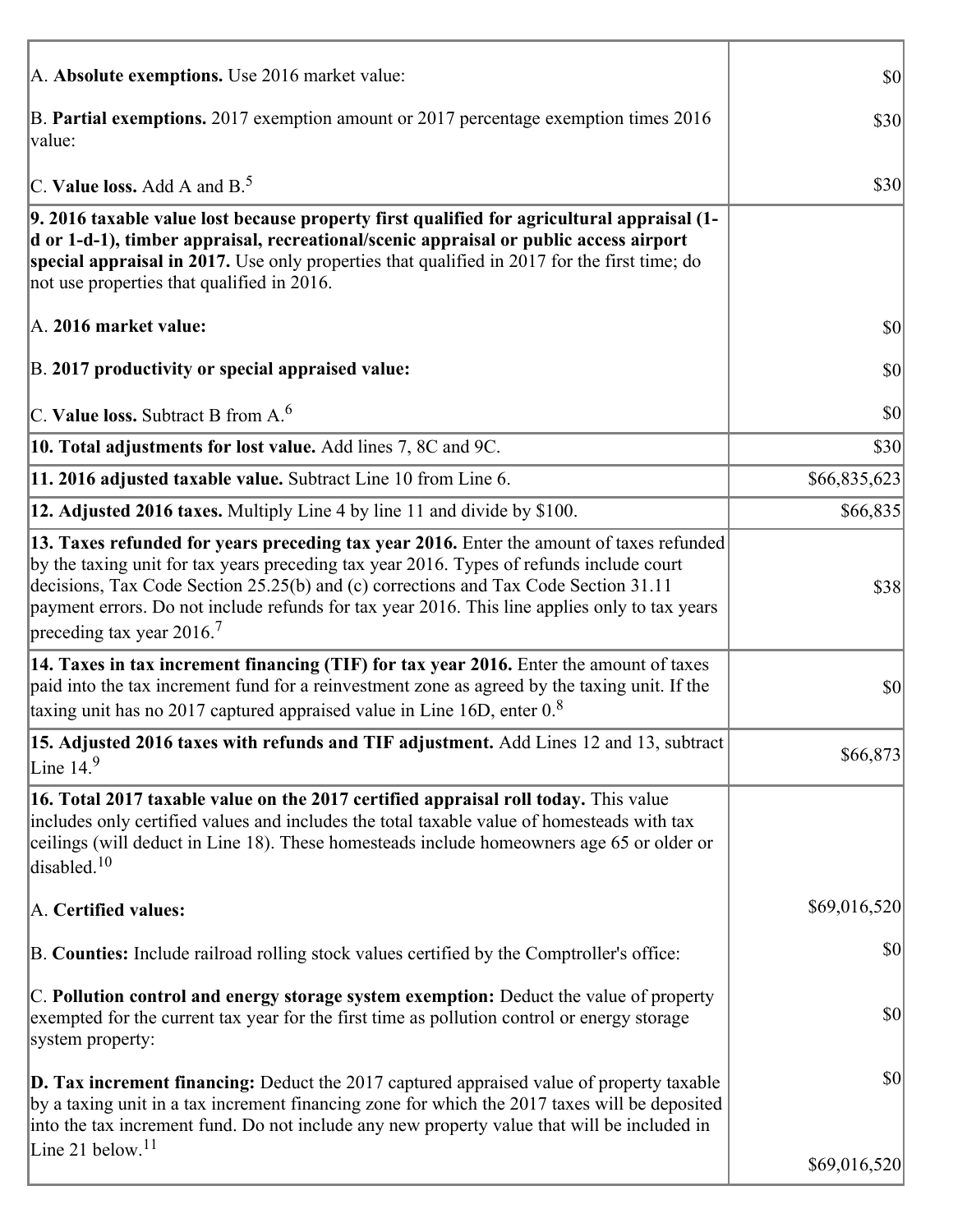| A. Absolute exemptions. Use 2016 market value:                                                                                                                                                                                                                                                                                                                                                                         | $ 10\rangle$ |
|------------------------------------------------------------------------------------------------------------------------------------------------------------------------------------------------------------------------------------------------------------------------------------------------------------------------------------------------------------------------------------------------------------------------|--------------|
| B. Partial exemptions. 2017 exemption amount or 2017 percentage exemption times 2016<br>value:                                                                                                                                                                                                                                                                                                                         | \$30         |
| C. Value loss. Add A and $B^5$ .                                                                                                                                                                                                                                                                                                                                                                                       | \$30         |
| 9. 2016 taxable value lost because property first qualified for agricultural appraisal (1-<br>d or 1-d-1), timber appraisal, recreational/scenic appraisal or public access airport<br>special appraisal in 2017. Use only properties that qualified in 2017 for the first time; do<br>not use properties that qualified in 2016.                                                                                      |              |
| A. 2016 market value:                                                                                                                                                                                                                                                                                                                                                                                                  | $ 10\rangle$ |
| B. 2017 productivity or special appraised value:                                                                                                                                                                                                                                                                                                                                                                       | \$0          |
| C. Value loss. Subtract B from $A6$                                                                                                                                                                                                                                                                                                                                                                                    | \$0          |
| 10. Total adjustments for lost value. Add lines 7, 8C and 9C.                                                                                                                                                                                                                                                                                                                                                          | \$30         |
| 11. 2016 adjusted taxable value. Subtract Line 10 from Line 6.                                                                                                                                                                                                                                                                                                                                                         | \$66,835,623 |
| 12. Adjusted 2016 taxes. Multiply Line 4 by line 11 and divide by \$100.                                                                                                                                                                                                                                                                                                                                               | \$66,835     |
| 13. Taxes refunded for years preceding tax year 2016. Enter the amount of taxes refunded<br>by the taxing unit for tax years preceding tax year 2016. Types of refunds include court<br>decisions, Tax Code Section 25.25(b) and (c) corrections and Tax Code Section 31.11<br>payment errors. Do not include refunds for tax year 2016. This line applies only to tax years<br>preceding tax year $2016$ <sup>7</sup> | \$38         |
| 14. Taxes in tax increment financing (TIF) for tax year 2016. Enter the amount of taxes<br>paid into the tax increment fund for a reinvestment zone as agreed by the taxing unit. If the<br>taxing unit has no 2017 captured appraised value in Line 16D, enter $0.8$                                                                                                                                                  | \$0          |
| 15. Adjusted 2016 taxes with refunds and TIF adjustment. Add Lines 12 and 13, subtract<br>Line $149$                                                                                                                                                                                                                                                                                                                   | \$66,873     |
| 16. Total 2017 taxable value on the 2017 certified appraisal roll today. This value<br>includes only certified values and includes the total taxable value of homesteads with tax<br>ceilings (will deduct in Line 18). These homesteads include homeowners age 65 or older or<br>disabled. $10$                                                                                                                       |              |
| A. Certified values:                                                                                                                                                                                                                                                                                                                                                                                                   | \$69,016,520 |
| B. Counties: Include railroad rolling stock values certified by the Comptroller's office:                                                                                                                                                                                                                                                                                                                              | \$0          |
| C. Pollution control and energy storage system exemption: Deduct the value of property<br>exempted for the current tax year for the first time as pollution control or energy storage<br>system property:                                                                                                                                                                                                              | \$0          |
| <b>D. Tax increment financing:</b> Deduct the 2017 captured appraised value of property taxable<br>by a taxing unit in a tax increment financing zone for which the 2017 taxes will be deposited<br>into the tax increment fund. Do not include any new property value that will be included in                                                                                                                        | \$0          |
| Line 21 below. <sup>11</sup>                                                                                                                                                                                                                                                                                                                                                                                           | \$69,016,520 |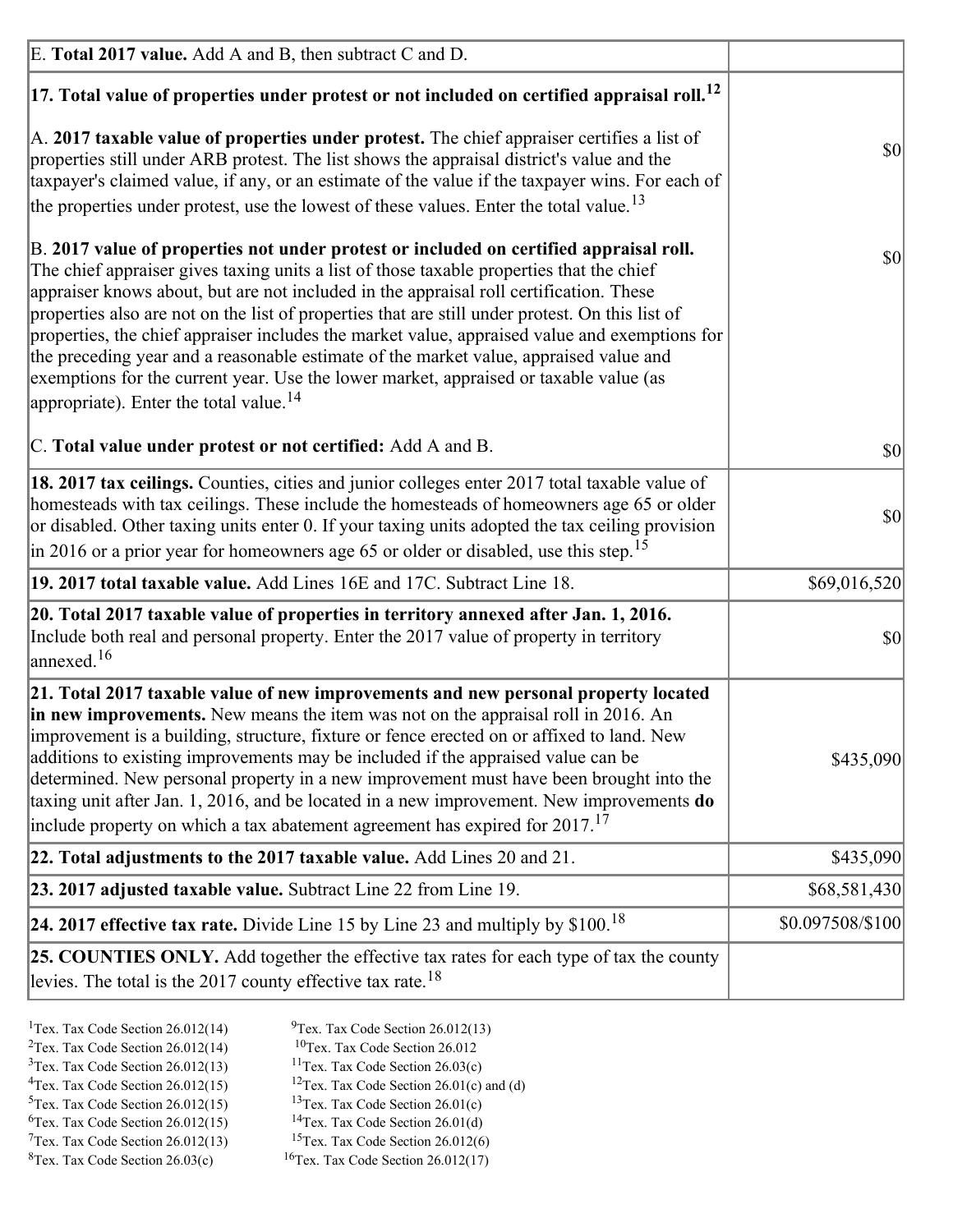| E. Total 2017 value. Add A and B, then subtract C and D.                                                                                                                                                                                                                                                                                                                                                                                                                                                                                                                                                                                                                                                                 |                  |
|--------------------------------------------------------------------------------------------------------------------------------------------------------------------------------------------------------------------------------------------------------------------------------------------------------------------------------------------------------------------------------------------------------------------------------------------------------------------------------------------------------------------------------------------------------------------------------------------------------------------------------------------------------------------------------------------------------------------------|------------------|
| $ 17$ . Total value of properties under protest or not included on certified appraisal roll. <sup>12</sup>                                                                                                                                                                                                                                                                                                                                                                                                                                                                                                                                                                                                               |                  |
| A. 2017 taxable value of properties under protest. The chief appraiser certifies a list of<br>properties still under ARB protest. The list shows the appraisal district's value and the<br>taxpayer's claimed value, if any, or an estimate of the value if the taxpayer wins. For each of<br>the properties under protest, use the lowest of these values. Enter the total value. <sup>13</sup>                                                                                                                                                                                                                                                                                                                         | \$0              |
| B. 2017 value of properties not under protest or included on certified appraisal roll.<br>The chief appraiser gives taxing units a list of those taxable properties that the chief<br>appraiser knows about, but are not included in the appraisal roll certification. These<br>properties also are not on the list of properties that are still under protest. On this list of<br>properties, the chief appraiser includes the market value, appraised value and exemptions for<br>the preceding year and a reasonable estimate of the market value, appraised value and<br>exemptions for the current year. Use the lower market, appraised or taxable value (as<br>appropriate). Enter the total value. <sup>14</sup> | <b>\$0</b>       |
| C. Total value under protest or not certified: Add A and B.                                                                                                                                                                                                                                                                                                                                                                                                                                                                                                                                                                                                                                                              | $ 10\rangle$     |
| 18. 2017 tax ceilings. Counties, cities and junior colleges enter 2017 total taxable value of<br>homesteads with tax ceilings. These include the homesteads of homeowners age 65 or older<br>or disabled. Other taxing units enter 0. If your taxing units adopted the tax ceiling provision<br>$\vert$ in 2016 or a prior year for homeowners age 65 or older or disabled, use this step. <sup>15</sup>                                                                                                                                                                                                                                                                                                                 | \$0              |
| 19. 2017 total taxable value. Add Lines 16E and 17C. Subtract Line 18.                                                                                                                                                                                                                                                                                                                                                                                                                                                                                                                                                                                                                                                   | \$69,016,520     |
| 20. Total 2017 taxable value of properties in territory annexed after Jan. 1, 2016.<br>Include both real and personal property. Enter the 2017 value of property in territory<br>annexed. <sup>16</sup>                                                                                                                                                                                                                                                                                                                                                                                                                                                                                                                  | $ 10\rangle$     |
| 21. Total 2017 taxable value of new improvements and new personal property located<br>in new improvements. New means the item was not on the appraisal roll in 2016. An<br>improvement is a building, structure, fixture or fence erected on or affixed to land. New<br>additions to existing improvements may be included if the appraised value can be<br>determined. New personal property in a new improvement must have been brought into the<br>taxing unit after Jan. 1, 2016, and be located in a new improvement. New improvements <b>do</b><br>include property on which a tax abatement agreement has expired for $2017$ . <sup>17</sup>                                                                      | \$435,090        |
| 22. Total adjustments to the 2017 taxable value. Add Lines 20 and 21.                                                                                                                                                                                                                                                                                                                                                                                                                                                                                                                                                                                                                                                    | \$435,090        |
| 23. 2017 adjusted taxable value. Subtract Line 22 from Line 19.                                                                                                                                                                                                                                                                                                                                                                                                                                                                                                                                                                                                                                                          | \$68,581,430     |
| 24. 2017 effective tax rate. Divide Line 15 by Line 23 and multiply by $$100$ . <sup>18</sup>                                                                                                                                                                                                                                                                                                                                                                                                                                                                                                                                                                                                                            | \$0.097508/\$100 |
| <b>25. COUNTIES ONLY.</b> Add together the effective tax rates for each type of tax the county<br>levies. The total is the 2017 county effective tax rate. <sup>18</sup>                                                                                                                                                                                                                                                                                                                                                                                                                                                                                                                                                 |                  |

- <sup>2</sup>Tex. Tax Code Section 26.012(14)
- <sup>1</sup>Tex. Tax Code Section 26.012(14) <sup>9</sup>Tex. Tax Code Section 26.012(13) <sup>9</sup>Tex. Tax Code Section 26.012
	-
- <sup>3</sup>Tex. Tax Code Section 26.012(13) <sup>11</sup>Tex. Tax Code Section 26.03(c) <sup>4</sup>Tex. Tax Code Section 26.01(c) and <sup>12</sup>Tex. Tax Code Section 26.01(c) and <sup>12</sup>Tex. Tax Code Section 26.01(c) and <sup>12</sup>Tex. Tax Code Section 26.01(c)
	- <sup>12</sup>Tex. Tax Code Section 26.01(c) and (d)
- 
- <sup>5</sup>Tex. Tax Code Section 26.012(15) <sup>13</sup>Tex. Tax Code Section 26.01(c) <sup>6</sup>Tex. Tax Code Section 26.01(d)
- $7$ Tex. Tax Code Section 26.012(13)
- 
- <sup>6</sup>Tex. Tax Code Section 26.012(15) <sup>14</sup>Tex. Tax Code Section 26.01(d)<sup>7</sup>Tex. Tax Code Section 26.012(6)
- ${}^{8}$ Tex. Tax Code Section 26.03(c)  ${}^{16}$ Tex. Tax Code Section 26.012(17)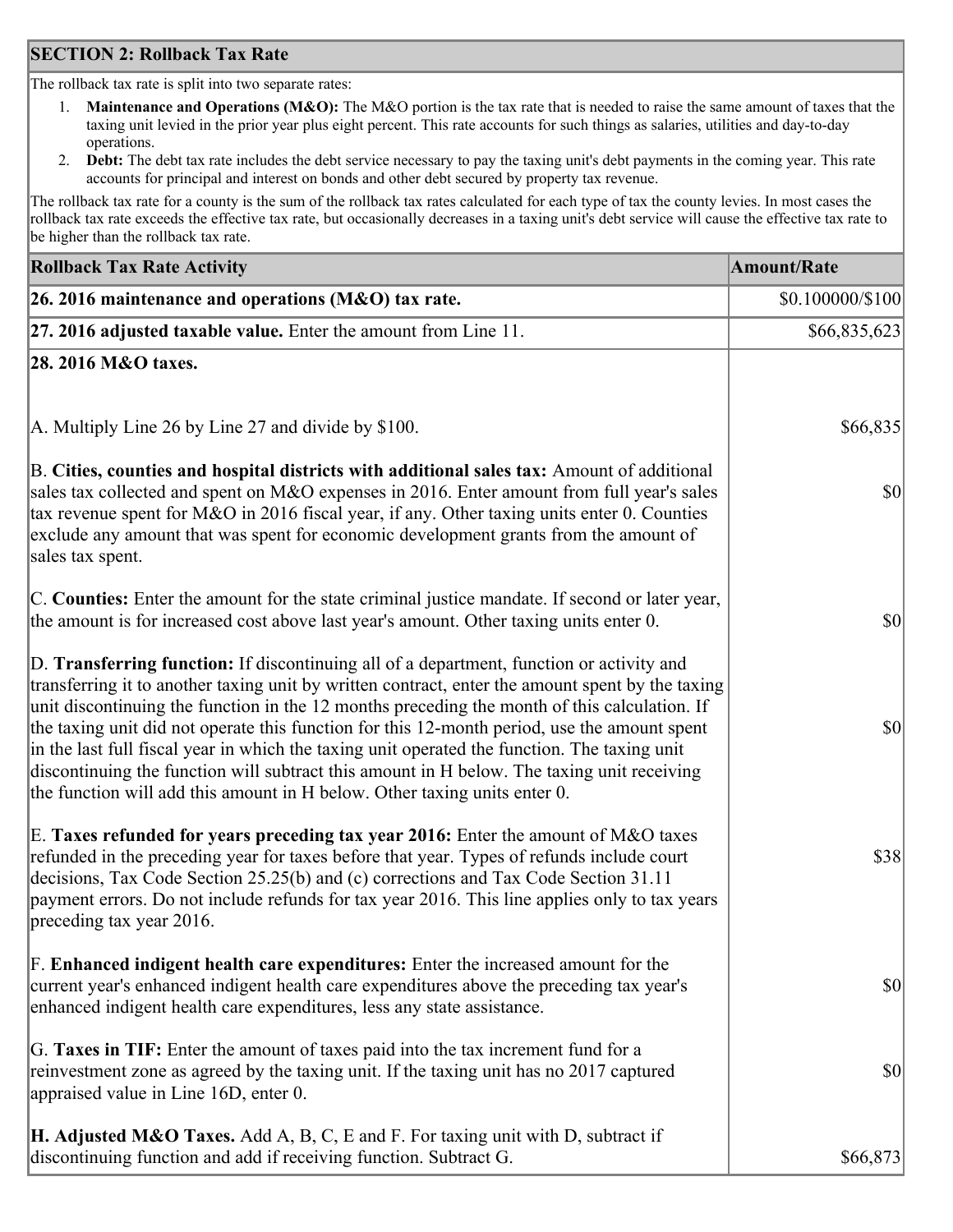### **SECTION 2: Rollback Tax Rate**

The rollback tax rate is split into two separate rates:

- 1. **Maintenance and Operations (M&O):** The M&O portion is the tax rate that is needed to raise the same amount of taxes that the taxing unit levied in the prior year plus eight percent. This rate accounts for such things as salaries, utilities and day-to-day operations.
- 2. **Debt:** The debt tax rate includes the debt service necessary to pay the taxing unit's debt payments in the coming year. This rate accounts for principal and interest on bonds and other debt secured by property tax revenue.

The rollback tax rate for a county is the sum of the rollback tax rates calculated for each type of tax the county levies. In most cases the rollback tax rate exceeds the effective tax rate, but occasionally decreases in a taxing unit's debt service will cause the effective tax rate to be higher than the rollback tax rate.

| <b>Rollback Tax Rate Activity</b>                                                                                                                                                                                                                                                                                                                                                                                                                                                                                                                                                                                                                                       | <b>Amount/Rate</b>     |
|-------------------------------------------------------------------------------------------------------------------------------------------------------------------------------------------------------------------------------------------------------------------------------------------------------------------------------------------------------------------------------------------------------------------------------------------------------------------------------------------------------------------------------------------------------------------------------------------------------------------------------------------------------------------------|------------------------|
| 26. 2016 maintenance and operations ( $M&O$ ) tax rate.                                                                                                                                                                                                                                                                                                                                                                                                                                                                                                                                                                                                                 | $$0.100000 \times 100$ |
| $ 27.2016$ adjusted taxable value. Enter the amount from Line 11.                                                                                                                                                                                                                                                                                                                                                                                                                                                                                                                                                                                                       | \$66,835,623           |
| 28. 2016 M&O taxes.                                                                                                                                                                                                                                                                                                                                                                                                                                                                                                                                                                                                                                                     |                        |
|                                                                                                                                                                                                                                                                                                                                                                                                                                                                                                                                                                                                                                                                         |                        |
| A. Multiply Line 26 by Line 27 and divide by \$100.                                                                                                                                                                                                                                                                                                                                                                                                                                                                                                                                                                                                                     | \$66,835               |
| B. Cities, counties and hospital districts with additional sales tax: Amount of additional<br>sales tax collected and spent on M&O expenses in 2016. Enter amount from full year's sales<br>tax revenue spent for M&O in 2016 fiscal year, if any. Other taxing units enter 0. Counties<br>exclude any amount that was spent for economic development grants from the amount of<br>sales tax spent.                                                                                                                                                                                                                                                                     | $ 10\rangle$           |
| C. Counties: Enter the amount for the state criminal justice mandate. If second or later year,<br>the amount is for increased cost above last year's amount. Other taxing units enter 0.                                                                                                                                                                                                                                                                                                                                                                                                                                                                                | \$0                    |
| D. Transferring function: If discontinuing all of a department, function or activity and<br>transferring it to another taxing unit by written contract, enter the amount spent by the taxing<br>unit discontinuing the function in the 12 months preceding the month of this calculation. If<br>the taxing unit did not operate this function for this 12-month period, use the amount spent<br>in the last full fiscal year in which the taxing unit operated the function. The taxing unit<br>discontinuing the function will subtract this amount in H below. The taxing unit receiving<br>the function will add this amount in H below. Other taxing units enter 0. | \$0                    |
| E. Taxes refunded for years preceding tax year 2016: Enter the amount of M&O taxes<br>refunded in the preceding year for taxes before that year. Types of refunds include court<br>decisions, Tax Code Section 25.25(b) and (c) corrections and Tax Code Section 31.11<br>payment errors. Do not include refunds for tax year 2016. This line applies only to tax years<br>preceding tax year 2016.                                                                                                                                                                                                                                                                     | \$38                   |
| F. Enhanced indigent health care expenditures: Enter the increased amount for the<br>current year's enhanced indigent health care expenditures above the preceding tax year's<br>enhanced indigent health care expenditures, less any state assistance.                                                                                                                                                                                                                                                                                                                                                                                                                 | $ 10\rangle$           |
| G. Taxes in TIF: Enter the amount of taxes paid into the tax increment fund for a<br>reinvestment zone as agreed by the taxing unit. If the taxing unit has no 2017 captured<br>appraised value in Line 16D, enter 0.                                                                                                                                                                                                                                                                                                                                                                                                                                                   | \$0                    |
| <b>H. Adjusted M&amp;O Taxes.</b> Add A, B, C, E and F. For taxing unit with D, subtract if<br>discontinuing function and add if receiving function. Subtract G.                                                                                                                                                                                                                                                                                                                                                                                                                                                                                                        | \$66,873               |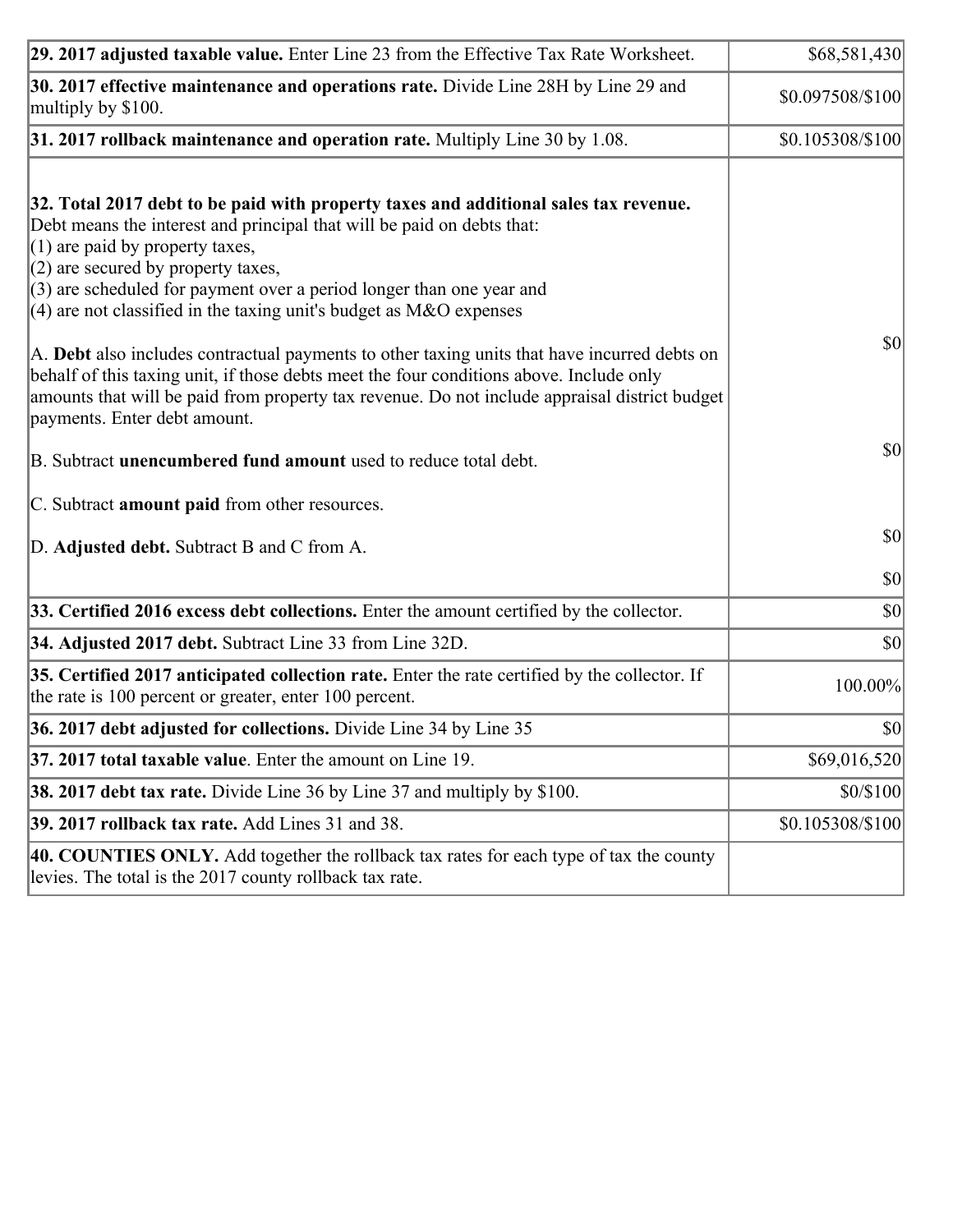| 29. 2017 adjusted taxable value. Enter Line 23 from the Effective Tax Rate Worksheet.                                                                                                                                                                                                                                                                                                                                                                                                                                                                                                                                                                                                                                     | \$68,581,430     |
|---------------------------------------------------------------------------------------------------------------------------------------------------------------------------------------------------------------------------------------------------------------------------------------------------------------------------------------------------------------------------------------------------------------------------------------------------------------------------------------------------------------------------------------------------------------------------------------------------------------------------------------------------------------------------------------------------------------------------|------------------|
| 30. 2017 effective maintenance and operations rate. Divide Line 28H by Line 29 and<br>multiply by \$100.                                                                                                                                                                                                                                                                                                                                                                                                                                                                                                                                                                                                                  | \$0.097508/\$100 |
| $31.2017$ rollback maintenance and operation rate. Multiply Line 30 by 1.08.                                                                                                                                                                                                                                                                                                                                                                                                                                                                                                                                                                                                                                              | \$0.105308/\$100 |
| 32. Total 2017 debt to be paid with property taxes and additional sales tax revenue.<br>Debt means the interest and principal that will be paid on debts that:<br>$(1)$ are paid by property taxes,<br>$(2)$ are secured by property taxes,<br>$(3)$ are scheduled for payment over a period longer than one year and<br>(4) are not classified in the taxing unit's budget as $M&O$ expenses<br>A. Debt also includes contractual payments to other taxing units that have incurred debts on<br>behalf of this taxing unit, if those debts meet the four conditions above. Include only<br>amounts that will be paid from property tax revenue. Do not include appraisal district budget<br>payments. Enter debt amount. | $ 10\rangle$     |
| B. Subtract unencumbered fund amount used to reduce total debt.                                                                                                                                                                                                                                                                                                                                                                                                                                                                                                                                                                                                                                                           | $ 10\rangle$     |
| C. Subtract amount paid from other resources.                                                                                                                                                                                                                                                                                                                                                                                                                                                                                                                                                                                                                                                                             |                  |
| D. Adjusted debt. Subtract B and C from A.                                                                                                                                                                                                                                                                                                                                                                                                                                                                                                                                                                                                                                                                                | $ 10\rangle$     |
|                                                                                                                                                                                                                                                                                                                                                                                                                                                                                                                                                                                                                                                                                                                           | $ 10\rangle$     |
| 33. Certified 2016 excess debt collections. Enter the amount certified by the collector.                                                                                                                                                                                                                                                                                                                                                                                                                                                                                                                                                                                                                                  | $ 10\rangle$     |
| 34. Adjusted 2017 debt. Subtract Line 33 from Line 32D.                                                                                                                                                                                                                                                                                                                                                                                                                                                                                                                                                                                                                                                                   | $ 10\rangle$     |
| 35. Certified 2017 anticipated collection rate. Enter the rate certified by the collector. If<br>the rate is 100 percent or greater, enter 100 percent.                                                                                                                                                                                                                                                                                                                                                                                                                                                                                                                                                                   | 100.00%          |
| 36. 2017 debt adjusted for collections. Divide Line 34 by Line 35                                                                                                                                                                                                                                                                                                                                                                                                                                                                                                                                                                                                                                                         | $ 10\rangle$     |
| 37. 2017 total taxable value. Enter the amount on Line 19.                                                                                                                                                                                                                                                                                                                                                                                                                                                                                                                                                                                                                                                                | \$69,016,520     |
| <b>38. 2017 debt tax rate.</b> Divide Line 36 by Line 37 and multiply by $$100$ .                                                                                                                                                                                                                                                                                                                                                                                                                                                                                                                                                                                                                                         | \$0/\$100        |
| 39. 2017 rollback tax rate. Add Lines 31 and 38.                                                                                                                                                                                                                                                                                                                                                                                                                                                                                                                                                                                                                                                                          | \$0.105308/\$100 |
| 40. COUNTIES ONLY. Add together the rollback tax rates for each type of tax the county<br>levies. The total is the 2017 county rollback tax rate.                                                                                                                                                                                                                                                                                                                                                                                                                                                                                                                                                                         |                  |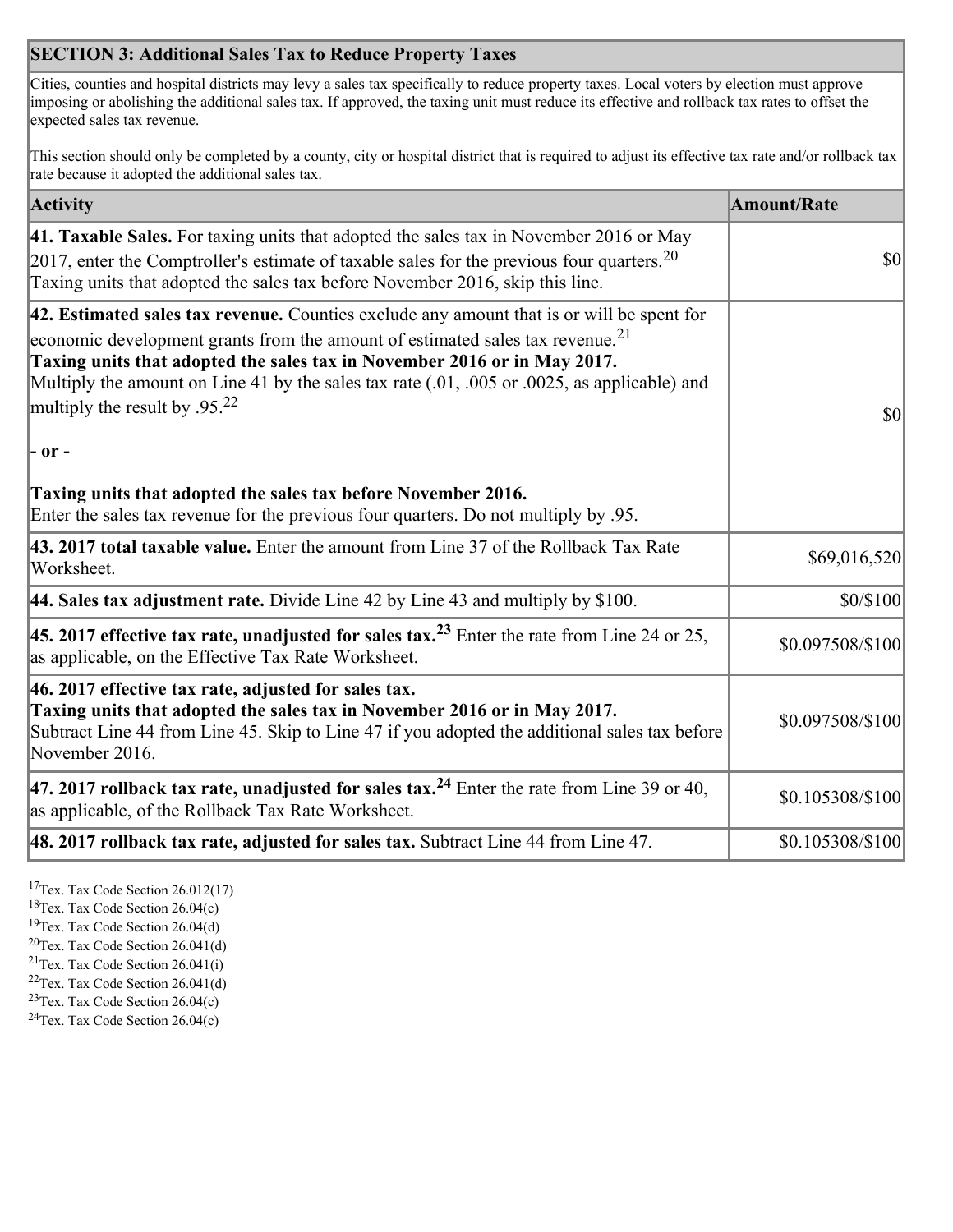## **SECTION 3: Additional Sales Tax to Reduce Property Taxes**

Cities, counties and hospital districts may levy a sales tax specifically to reduce property taxes. Local voters by election must approve imposing or abolishing the additional sales tax. If approved, the taxing unit must reduce its effective and rollback tax rates to offset the expected sales tax revenue.

This section should only be completed by a county, city or hospital district that is required to adjust its effective tax rate and/or rollback tax rate because it adopted the additional sales tax.

| <b>Activity</b>                                                                                                                                                                                                                                                                                                                                                                                                 | <b>Amount/Rate</b> |
|-----------------------------------------------------------------------------------------------------------------------------------------------------------------------------------------------------------------------------------------------------------------------------------------------------------------------------------------------------------------------------------------------------------------|--------------------|
| 41. Taxable Sales. For taxing units that adopted the sales tax in November 2016 or May<br>[2017, enter the Comptroller's estimate of taxable sales for the previous four quarters. <sup>20</sup><br>Taxing units that adopted the sales tax before November 2016, skip this line.                                                                                                                               | $\vert$ so $\vert$ |
| 42. Estimated sales tax revenue. Counties exclude any amount that is or will be spent for<br>economic development grants from the amount of estimated sales tax revenue. <sup>21</sup><br>Taxing units that adopted the sales tax in November 2016 or in May 2017.<br>Multiply the amount on Line 41 by the sales tax rate (.01, .005 or .0025, as applicable) and<br>multiply the result by .95. <sup>22</sup> | \$0                |
| $ -$ or $-$                                                                                                                                                                                                                                                                                                                                                                                                     |                    |
| Taxing units that adopted the sales tax before November 2016.<br>Enter the sales tax revenue for the previous four quarters. Do not multiply by .95.                                                                                                                                                                                                                                                            |                    |
| 43. 2017 total taxable value. Enter the amount from Line 37 of the Rollback Tax Rate<br>Worksheet.                                                                                                                                                                                                                                                                                                              | \$69,016,520       |
| 44. Sales tax adjustment rate. Divide Line 42 by Line 43 and multiply by $$100$ .                                                                                                                                                                                                                                                                                                                               | \$0/\$100          |
| 45. 2017 effective tax rate, unadjusted for sales tax. <sup>23</sup> Enter the rate from Line 24 or 25,<br>as applicable, on the Effective Tax Rate Worksheet.                                                                                                                                                                                                                                                  | \$0.097508/\$100   |
| 46. 2017 effective tax rate, adjusted for sales tax.<br>Taxing units that adopted the sales tax in November 2016 or in May 2017.<br>Subtract Line 44 from Line 45. Skip to Line 47 if you adopted the additional sales tax before<br>November 2016.                                                                                                                                                             | \$0.097508/\$100   |
| 47. 2017 rollback tax rate, unadjusted for sales tax. <sup>24</sup> Enter the rate from Line 39 or 40,<br>as applicable, of the Rollback Tax Rate Worksheet.                                                                                                                                                                                                                                                    | \$0.105308/\$100   |
| $ 48.2017$ rollback tax rate, adjusted for sales tax. Subtract Line 44 from Line 47.                                                                                                                                                                                                                                                                                                                            | \$0.105308/\$100   |

<sup>17</sup>Tex. Tax Code Section 26.012(17)

<sup>18</sup>Tex. Tax Code Section 26.04(c)

<sup>19</sup>Tex. Tax Code Section 26.04(d)

<sup>20</sup>Tex. Tax Code Section 26.041(d)

- $21$ Tex. Tax Code Section 26.041(i)
- <sup>22</sup>Tex. Tax Code Section 26.041(d)
- <sup>23</sup>Tex. Tax Code Section  $26.04(c)$

<sup>24</sup>Tex. Tax Code Section  $26.04(c)$